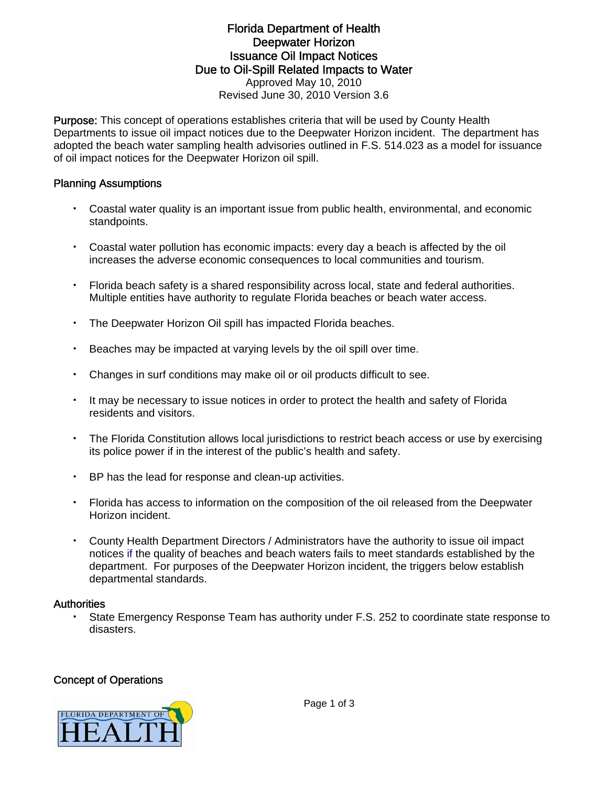## Florida Department of Health Deepwater Horizon Issuance Oil Impact Notices Due to Oil-Spill Related Impacts to Water Approved May 10, 2010 Revised June 30, 2010 Version 3.6

Purpose: This concept of operations establishes criteria that will be used by County Health Departments to issue oil impact notices due to the Deepwater Horizon incident. The department has adopted the beach water sampling health advisories outlined in F.S. 514.023 as a model for issuance of oil impact notices for the Deepwater Horizon oil spill.

## Planning Assumptions

- Coastal water quality is an important issue from public health, environmental, and economic standpoints.
- Coastal water pollution has economic impacts: every day a beach is affected by the oil increases the adverse economic consequences to local communities and tourism.
- Florida beach safety is a shared responsibility across local, state and federal authorities. Multiple entities have authority to regulate Florida beaches or beach water access.
- The Deepwater Horizon Oil spill has impacted Florida beaches.
- Beaches may be impacted at varying levels by the oil spill over time.
- Changes in surf conditions may make oil or oil products difficult to see.
- It may be necessary to issue notices in order to protect the health and safety of Florida residents and visitors.
- The Florida Constitution allows local jurisdictions to restrict beach access or use by exercising its police power if in the interest of the public's health and safety.
- BP has the lead for response and clean-up activities.
- Florida has access to information on the composition of the oil released from the Deepwater Horizon incident.
- County Health Department Directors / Administrators have the authority to issue oil impact notices if the quality of beaches and beach waters fails to meet standards established by the department. For purposes of the Deepwater Horizon incident, the triggers below establish departmental standards.

#### **Authorities**

• State Emergency Response Team has authority under F.S. 252 to coordinate state response to disasters.

#### Concept of Operations

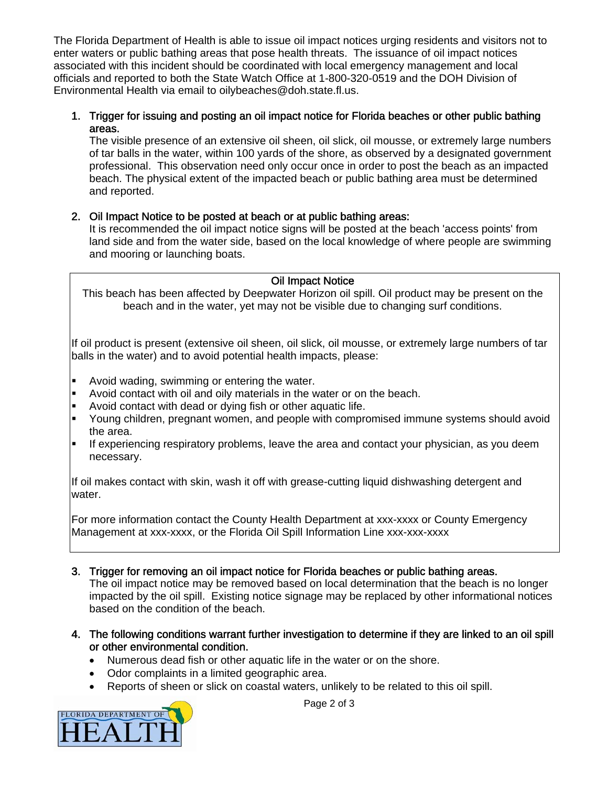The Florida Department of Health is able to issue oil impact notices urging residents and visitors not to enter waters or public bathing areas that pose health threats. The issuance of oil impact notices associated with this incident should be coordinated with local emergency management and local officials and reported to both the State Watch Office at 1-800-320-0519 and the DOH Division of Environmental Health via email to oilybeaches@doh.state.fl.us.

## 1. Trigger for issuing and posting an oil impact notice for Florida beaches or other public bathing areas.

The visible presence of an extensive oil sheen, oil slick, oil mousse, or extremely large numbers of tar balls in the water, within 100 yards of the shore, as observed by a designated government professional. This observation need only occur once in order to post the beach as an impacted beach. The physical extent of the impacted beach or public bathing area must be determined and reported.

# 2. Oil Impact Notice to be posted at beach or at public bathing areas:

It is recommended the oil impact notice signs will be posted at the beach 'access points' from land side and from the water side, based on the local knowledge of where people are swimming and mooring or launching boats.

# Oil Impact Notice

This beach has been affected by Deepwater Horizon oil spill. Oil product may be present on the beach and in the water, yet may not be visible due to changing surf conditions.

If oil product is present (extensive oil sheen, oil slick, oil mousse, or extremely large numbers of tar balls in the water) and to avoid potential health impacts, please:

- **Avoid wading, swimming or entering the water.**
- Avoid contact with oil and oily materials in the water or on the beach.
- Avoid contact with dead or dying fish or other aquatic life.
- Young children, pregnant women, and people with compromised immune systems should avoid the area.
- If experiencing respiratory problems, leave the area and contact your physician, as you deem necessary.

If oil makes contact with skin, wash it off with grease-cutting liquid dishwashing detergent and water.

For more information contact the County Health Department at xxx-xxxx or County Emergency Management at xxx-xxxx, or the Florida Oil Spill Information Line xxx-xxx-xxxx

- 3. Trigger for removing an oil impact notice for Florida beaches or public bathing areas. The oil impact notice may be removed based on local determination that the beach is no longer impacted by the oil spill. Existing notice signage may be replaced by other informational notices based on the condition of the beach.
- 4. The following conditions warrant further investigation to determine if they are linked to an oil spill or other environmental condition.
	- Numerous dead fish or other aquatic life in the water or on the shore.
	- Odor complaints in a limited geographic area.
	- Reports of sheen or slick on coastal waters, unlikely to be related to this oil spill.



Page 2 of 3